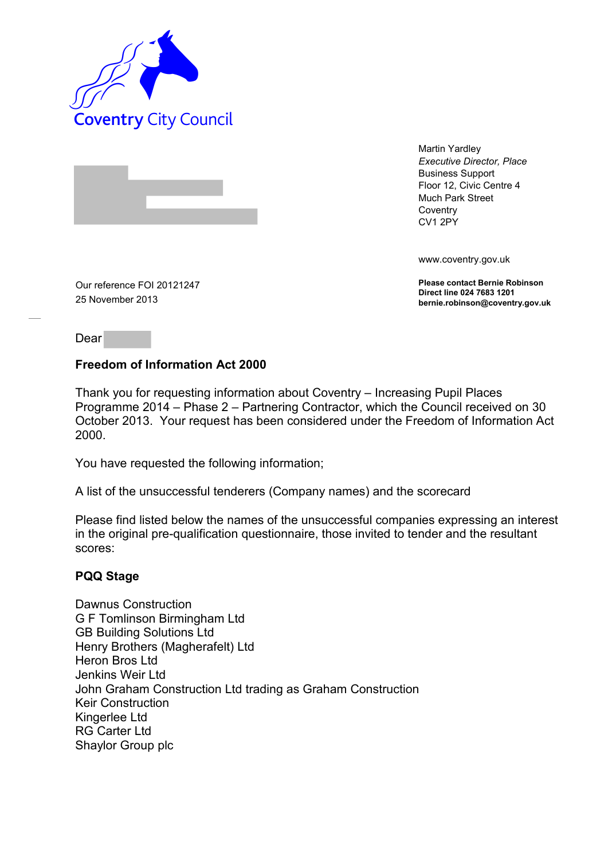

Martin Yardley *Executive Director, Place* Business Support Floor 12, Civic Centre 4 Much Park Street **Coventry** CV1 2PY

www.coventry.gov.uk

**Please contact Bernie Robinson Direct line 024 7683 1201 bernie.robinson@coventry.gov.uk**

Our reference FOI 20121247 25 November 2013

Dear

## **Freedom of Information Act 2000**

Thank you for requesting information about Coventry – Increasing Pupil Places Programme 2014 – Phase 2 – Partnering Contractor, which the Council received on 30 October 2013. Your request has been considered under the Freedom of Information Act 2000.

You have requested the following information;

A list of the unsuccessful tenderers (Company names) and the scorecard

Please find listed below the names of the unsuccessful companies expressing an interest in the original pre-qualification questionnaire, those invited to tender and the resultant scores:

# **PQQ Stage**

Dawnus Construction G F Tomlinson Birmingham Ltd GB Building Solutions Ltd Henry Brothers (Magherafelt) Ltd Heron Bros Ltd Jenkins Weir Ltd John Graham Construction Ltd trading as Graham Construction Keir Construction Kingerlee Ltd RG Carter Ltd Shaylor Group plc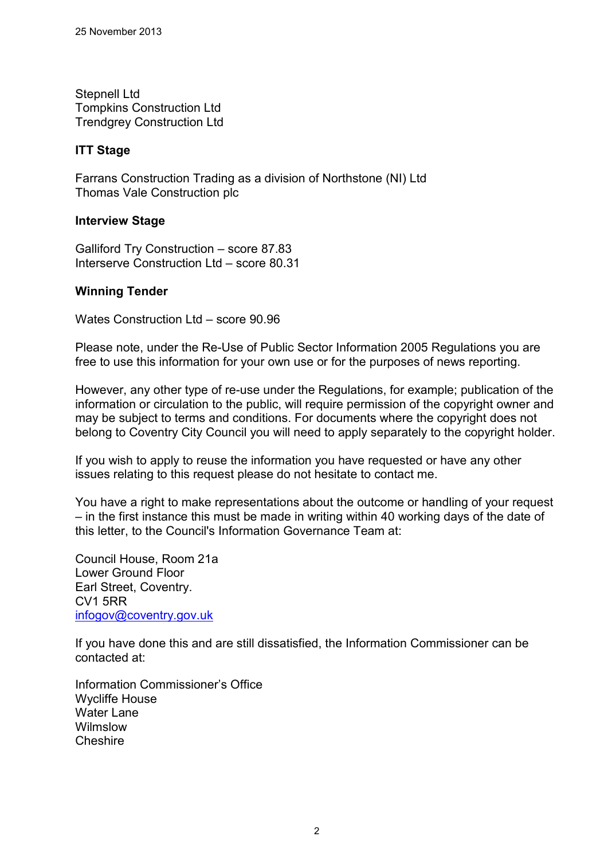Stepnell Ltd Tompkins Construction Ltd Trendgrey Construction Ltd

## **ITT Stage**

Farrans Construction Trading as a division of Northstone (NI) Ltd Thomas Vale Construction plc

#### **Interview Stage**

Galliford Try Construction – score 87.83 Interserve Construction Ltd – score 80.31

#### **Winning Tender**

Wates Construction Ltd – score 90.96

Please note, under the Re-Use of Public Sector Information 2005 Regulations you are free to use this information for your own use or for the purposes of news reporting.

However, any other type of re-use under the Regulations, for example; publication of the information or circulation to the public, will require permission of the copyright owner and may be subject to terms and conditions. For documents where the copyright does not belong to Coventry City Council you will need to apply separately to the copyright holder.

If you wish to apply to reuse the information you have requested or have any other issues relating to this request please do not hesitate to contact me.

You have a right to make representations about the outcome or handling of your request – in the first instance this must be made in writing within 40 working days of the date of this letter, to the Council's Information Governance Team at:

Council House, Room 21a Lower Ground Floor Earl Street, Coventry. CV1 5RR [infogov@coventry.gov.uk](mailto:infogov@coventry.gov.uk)

If you have done this and are still dissatisfied, the Information Commissioner can be contacted at:

Information Commissioner's Office Wycliffe House Water Lane Wilmslow **Cheshire**